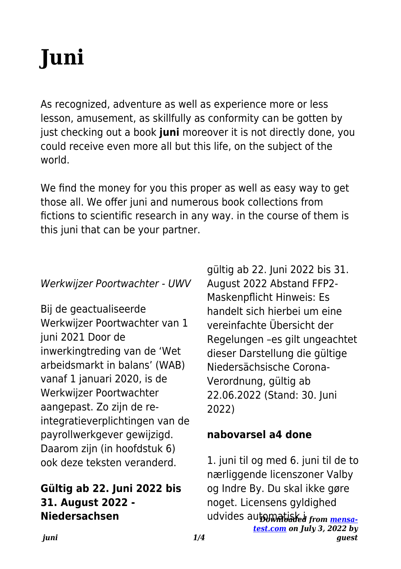# **Juni**

As recognized, adventure as well as experience more or less lesson, amusement, as skillfully as conformity can be gotten by just checking out a book **juni** moreover it is not directly done, you could receive even more all but this life, on the subject of the world.

We find the money for you this proper as well as easy way to get those all. We offer juni and numerous book collections from fictions to scientific research in any way. in the course of them is this juni that can be your partner.

#### Werkwijzer Poortwachter - UWV

Bij de geactualiseerde Werkwijzer Poortwachter van 1 juni 2021 Door de inwerkingtreding van de 'Wet arbeidsmarkt in balans' (WAB) vanaf 1 januari 2020, is de Werkwijzer Poortwachter aangepast. Zo zijn de reintegratieverplichtingen van de payrollwerkgever gewijzigd. Daarom zijn (in hoofdstuk 6) ook deze teksten veranderd.

## **Gültig ab 22. Juni 2022 bis 31. August 2022 - Niedersachsen**

gültig ab 22. Juni 2022 bis 31. August 2022 Abstand FFP2- Maskenpflicht Hinweis: Es handelt sich hierbei um eine vereinfachte Übersicht der Regelungen –es gilt ungeachtet dieser Darstellung die gültige Niedersächsische Corona-Verordnung, gültig ab 22.06.2022 (Stand: 30. Juni 2022)

#### **nabovarsel a4 done**

udvides auto<del>matiak i from mensa-</del> *[test.com](https://mensa-test.com) on July 3, 2022 by* 1. juni til og med 6. juni til de to nærliggende licenszoner Valby og Indre By. Du skal ikke gøre noget. Licensens gyldighed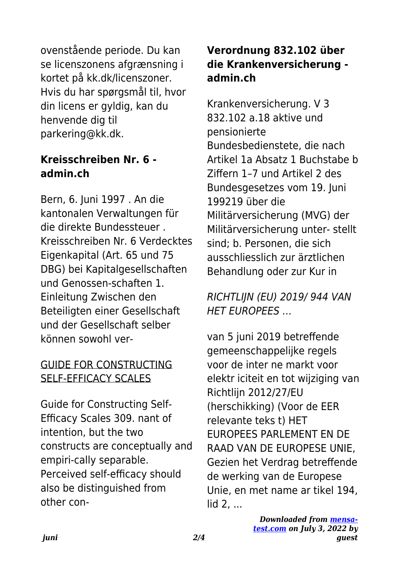ovenstående periode. Du kan se licenszonens afgrænsning i kortet på kk.dk/licenszoner. Hvis du har spørgsmål til, hvor din licens er gyldig, kan du henvende dig til parkering@kk.dk.

### **Kreisschreiben Nr. 6 admin.ch**

Bern, 6. Juni 1997 . An die kantonalen Verwaltungen für die direkte Bundessteuer . Kreisschreiben Nr. 6 Verdecktes Eigenkapital (Art. 65 und 75 DBG) bei Kapitalgesellschaften und Genossen-schaften 1. Einleitung Zwischen den Beteiligten einer Gesellschaft und der Gesellschaft selber können sowohl ver-

## GUIDE FOR CONSTRUCTING SELF-EFFICACY SCALES

Guide for Constructing Self-Efficacy Scales 309. nant of intention, but the two constructs are conceptually and empiri-cally separable. Perceived self-efficacy should also be distinguished from other con-

# **Verordnung 832.102 über die Krankenversicherung admin.ch**

Krankenversicherung. V 3 832.102 a.18 aktive und pensionierte Bundesbedienstete, die nach Artikel 1a Absatz 1 Buchstabe b Ziffern 1–7 und Artikel 2 des Bundesgesetzes vom 19. Juni 199219 über die Militärversicherung (MVG) der Militärversicherung unter- stellt sind; b. Personen, die sich ausschliesslich zur ärztlichen Behandlung oder zur Kur in

## RICHTLIJN (EU) 2019/ 944 VAN HET EUROPEES …

van 5 juni 2019 betreffende gemeenschappelijke regels voor de inter ne markt voor elektr iciteit en tot wijziging van Richtlijn 2012/27/EU (herschikking) (Voor de EER relevante teks t) HET EUROPEES PARLEMENT EN DE RAAD VAN DE EUROPESE UNIE, Gezien het Verdrag betreffende de werking van de Europese Unie, en met name ar tikel 194, lid 2, ...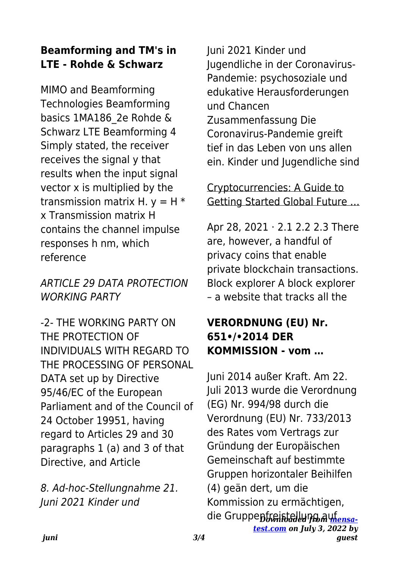# **Beamforming and TM's in LTE - Rohde & Schwarz**

MIMO and Beamforming Technologies Beamforming basics 1MA186\_2e Rohde & Schwarz LTE Beamforming 4 Simply stated, the receiver receives the signal y that results when the input signal vector x is multiplied by the transmission matrix H.  $v = H^*$ x Transmission matrix H contains the channel impulse responses h nm, which reference

## ARTICLE 29 DATA PROTECTION WORKING PARTY

-2- THE WORKING PARTY ON THE PROTECTION OF INDIVIDUALS WITH REGARD TO THE PROCESSING OF PERSONAL DATA set up by Directive 95/46/EC of the European Parliament and of the Council of 24 October 19951, having regard to Articles 29 and 30 paragraphs 1 (a) and 3 of that Directive, and Article

8. Ad-hoc-Stellungnahme 21. Juni 2021 Kinder und

Juni 2021 Kinder und Jugendliche in der Coronavirus-Pandemie: psychosoziale und edukative Herausforderungen und Chancen Zusammenfassung Die Coronavirus-Pandemie greift tief in das Leben von uns allen ein. Kinder und Jugendliche sind

Cryptocurrencies: A Guide to Getting Started Global Future …

Apr 28, 2021 · 2.1 2.2 2.3 There are, however, a handful of privacy coins that enable private blockchain transactions. Block explorer A block explorer – a website that tracks all the

## **VERORDNUNG (EU) Nr. 651•/•2014 DER KOMMISSION - vom …**

die Gruppe<del>nfreistallunญ ลน<u>fensa-</u></del> *[test.com](https://mensa-test.com) on July 3, 2022 by* Juni 2014 außer Kraft. Am 22. Juli 2013 wurde die Verordnung (EG) Nr. 994/98 durch die Verordnung (EU) Nr. 733/2013 des Rates vom Vertrags zur Gründung der Europäischen Gemeinschaft auf bestimmte Gruppen horizontaler Beihilfen (4) geän dert, um die Kommission zu ermächtigen,

*guest*